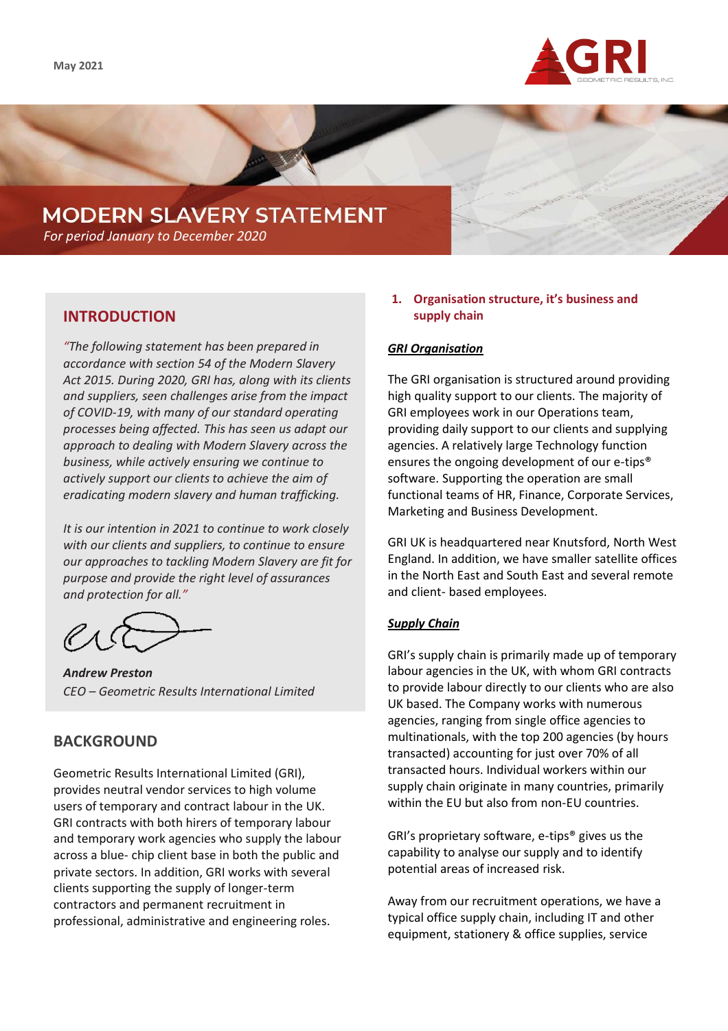

# **MODERN SLAVERY STATEMENT**

*For period January to December 2020*

# **INTRODUCTION**

*"The following statement has been prepared in accordance with section 54 of the Modern Slavery Act 2015. During 2020, GRI has, along with its clients and suppliers, seen challenges arise from the impact of COVID-19, with many of our standard operating processes being affected. This has seen us adapt our approach to dealing with Modern Slavery across the business, while actively ensuring we continue to actively support our clients to achieve the aim of eradicating modern slavery and human trafficking.*

*It is our intention in 2021 to continue to work closely with our clients and suppliers, to continue to ensure our approaches to tackling Modern Slavery are fit for purpose and provide the right level of assurances and protection for all."*

*Andrew Preston CEO – Geometric Results International Limited*

# **BACKGROUND**

Geometric Results International Limited (GRI), provides neutral vendor services to high volume users of temporary and contract labour in the UK. GRI contracts with both hirers of temporary labour and temporary work agencies who supply the labour across a blue- chip client base in both the public and private sectors. In addition, GRI works with several clients supporting the supply of longer-term contractors and permanent recruitment in professional, administrative and engineering roles.

## **1. Organisation structure, it's business and supply chain**

## *GRI Organisation*

The GRI organisation is structured around providing high quality support to our clients. The majority of GRI employees work in our Operations team, providing daily support to our clients and supplying agencies. A relatively large Technology function ensures the ongoing development of our e-tips® software. Supporting the operation are small functional teams of HR, Finance, Corporate Services, Marketing and Business Development.

GRI UK is headquartered near Knutsford, North West England. In addition, we have smaller satellite offices in the North East and South East and several remote and client- based employees.

## *Supply Chain*

GRI's supply chain is primarily made up of temporary labour agencies in the UK, with whom GRI contracts to provide labour directly to our clients who are also UK based. The Company works with numerous agencies, ranging from single office agencies to multinationals, with the top 200 agencies (by hours transacted) accounting for just over 70% of all transacted hours. Individual workers within our supply chain originate in many countries, primarily within the EU but also from non-EU countries.

GRI's proprietary software, e-tips® gives us the capability to analyse our supply and to identify potential areas of increased risk.

Away from our recruitment operations, we have a typical office supply chain, including IT and other equipment, stationery & office supplies, service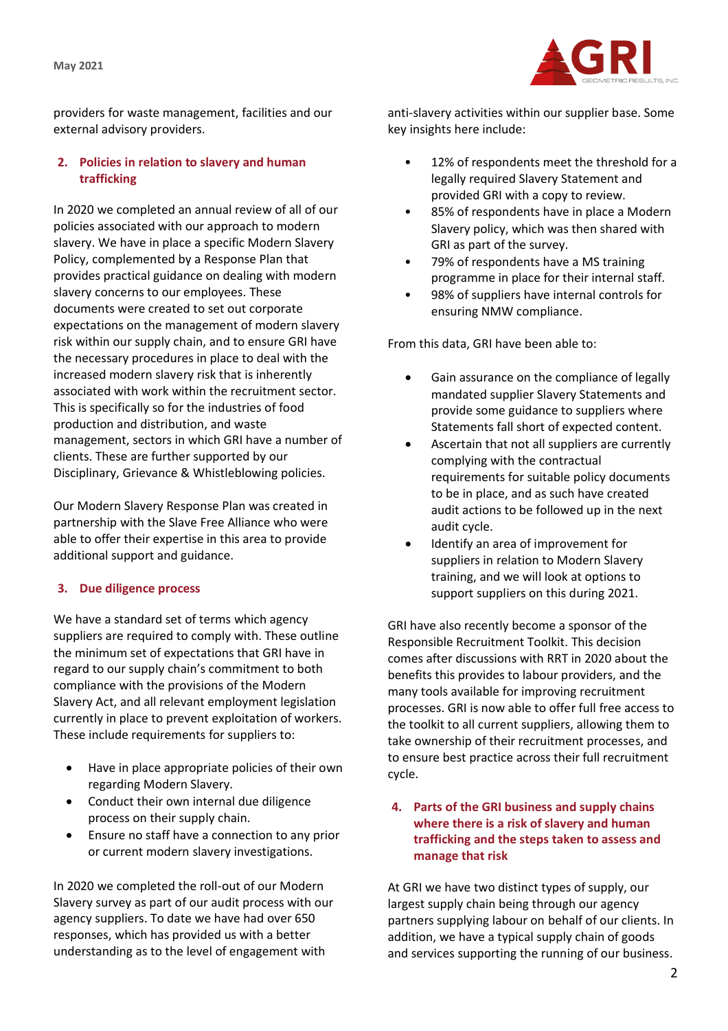

providers for waste management, facilities and our external advisory providers.

## **2. Policies in relation to slavery and human trafficking**

In 2020 we completed an annual review of all of our policies associated with our approach to modern slavery. We have in place a specific Modern Slavery Policy, complemented by a Response Plan that provides practical guidance on dealing with modern slavery concerns to our employees. These documents were created to set out corporate expectations on the management of modern slavery risk within our supply chain, and to ensure GRI have the necessary procedures in place to deal with the increased modern slavery risk that is inherently associated with work within the recruitment sector. This is specifically so for the industries of food production and distribution, and waste management, sectors in which GRI have a number of clients. These are further supported by our Disciplinary, Grievance & Whistleblowing policies.

Our Modern Slavery Response Plan was created in partnership with the Slave Free Alliance who were able to offer their expertise in this area to provide additional support and guidance.

## **3. Due diligence process**

We have a standard set of terms which agency suppliers are required to comply with. These outline the minimum set of expectations that GRI have in regard to our supply chain's commitment to both compliance with the provisions of the Modern Slavery Act, and all relevant employment legislation currently in place to prevent exploitation of workers. These include requirements for suppliers to:

- Have in place appropriate policies of their own regarding Modern Slavery.
- Conduct their own internal due diligence process on their supply chain.
- Ensure no staff have a connection to any prior or current modern slavery investigations.

In 2020 we completed the roll-out of our Modern Slavery survey as part of our audit process with our agency suppliers. To date we have had over 650 responses, which has provided us with a better understanding as to the level of engagement with

anti-slavery activities within our supplier base. Some key insights here include:

- 12% of respondents meet the threshold for a legally required Slavery Statement and provided GRI with a copy to review.
- 85% of respondents have in place a Modern Slavery policy, which was then shared with GRI as part of the survey.
- 79% of respondents have a MS training programme in place for their internal staff.
- 98% of suppliers have internal controls for ensuring NMW compliance.

From this data, GRI have been able to:

- Gain assurance on the compliance of legally mandated supplier Slavery Statements and provide some guidance to suppliers where Statements fall short of expected content.
- Ascertain that not all suppliers are currently complying with the contractual requirements for suitable policy documents to be in place, and as such have created audit actions to be followed up in the next audit cycle.
- Identify an area of improvement for suppliers in relation to Modern Slavery training, and we will look at options to support suppliers on this during 2021.

GRI have also recently become a sponsor of the Responsible Recruitment Toolkit. This decision comes after discussions with RRT in 2020 about the benefits this provides to labour providers, and the many tools available for improving recruitment processes. GRI is now able to offer full free access to the toolkit to all current suppliers, allowing them to take ownership of their recruitment processes, and to ensure best practice across their full recruitment cycle.

**4. Parts of the GRI business and supply chains where there is a risk of slavery and human trafficking and the steps taken to assess and manage that risk**

At GRI we have two distinct types of supply, our largest supply chain being through our agency partners supplying labour on behalf of our clients. In addition, we have a typical supply chain of goods and services supporting the running of our business.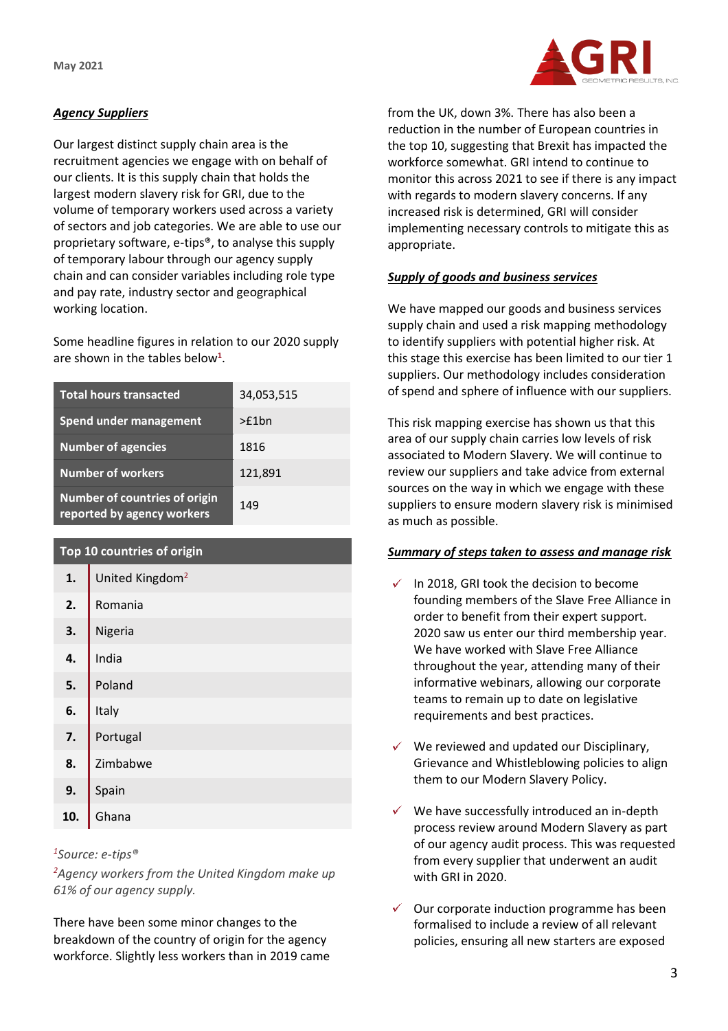**May 2021**



# *Agency Suppliers*

Our largest distinct supply chain area is the recruitment agencies we engage with on behalf of our clients. It is this supply chain that holds the largest modern slavery risk for GRI, due to the volume of temporary workers used across a variety of sectors and job categories. We are able to use our proprietary software, e-tips®, to analyse this supply of temporary labour through our agency supply chain and can consider variables including role type and pay rate, industry sector and geographical working location.

Some headline figures in relation to our 2020 supply are shown in the tables below**<sup>1</sup>** .

| <b>Total hours transacted</b>                                      | 34,053,515 |
|--------------------------------------------------------------------|------------|
| <b>Spend under management</b>                                      | >£1bn      |
| <b>Number of agencies</b>                                          | 1816       |
| <b>Number of workers</b>                                           | 121,891    |
| <b>Number of countries of origin</b><br>reported by agency workers | 149        |

## **Top 10 countries of origin**

| 1.  | United Kingdom <sup>2</sup> |
|-----|-----------------------------|
| 2.  | Romania                     |
| 3.  | Nigeria                     |
| 4.  | India                       |
| 5.  | Poland                      |
| 6.  | Italy                       |
| 7.  | Portugal                    |
| 8.  | Zimbabwe                    |
| 9.  | Spain                       |
| 10. | Ghana                       |

#### *<sup>1</sup>Source: e-tips®*

*<sup>2</sup>Agency workers from the United Kingdom make up 61% of our agency supply.*

There have been some minor changes to the breakdown of the country of origin for the agency workforce. Slightly less workers than in 2019 came

from the UK, down 3%. There has also been a reduction in the number of European countries in the top 10, suggesting that Brexit has impacted the workforce somewhat. GRI intend to continue to monitor this across 2021 to see if there is any impact with regards to modern slavery concerns. If any increased risk is determined, GRI will consider implementing necessary controls to mitigate this as appropriate.

## *Supply of goods and business services*

We have mapped our goods and business services supply chain and used a risk mapping methodology to identify suppliers with potential higher risk. At this stage this exercise has been limited to our tier 1 suppliers. Our methodology includes consideration of spend and sphere of influence with our suppliers.

This risk mapping exercise has shown us that this area of our supply chain carries low levels of risk associated to Modern Slavery. We will continue to review our suppliers and take advice from external sources on the way in which we engage with these suppliers to ensure modern slavery risk is minimised as much as possible.

## *Summary of steps taken to assess and manage risk*

- $\checkmark$  In 2018, GRI took the decision to become founding members of the Slave Free Alliance in order to benefit from their expert support. 2020 saw us enter our third membership year. We have worked with Slave Free Alliance throughout the year, attending many of their informative webinars, allowing our corporate teams to remain up to date on legislative requirements and best practices.
- We reviewed and updated our Disciplinary, Grievance and Whistleblowing policies to align them to our Modern Slavery Policy.
- $\checkmark$  We have successfully introduced an in-depth process review around Modern Slavery as part of our agency audit process. This was requested from every supplier that underwent an audit with GRI in 2020.
- $\checkmark$  Our corporate induction programme has been formalised to include a review of all relevant policies, ensuring all new starters are exposed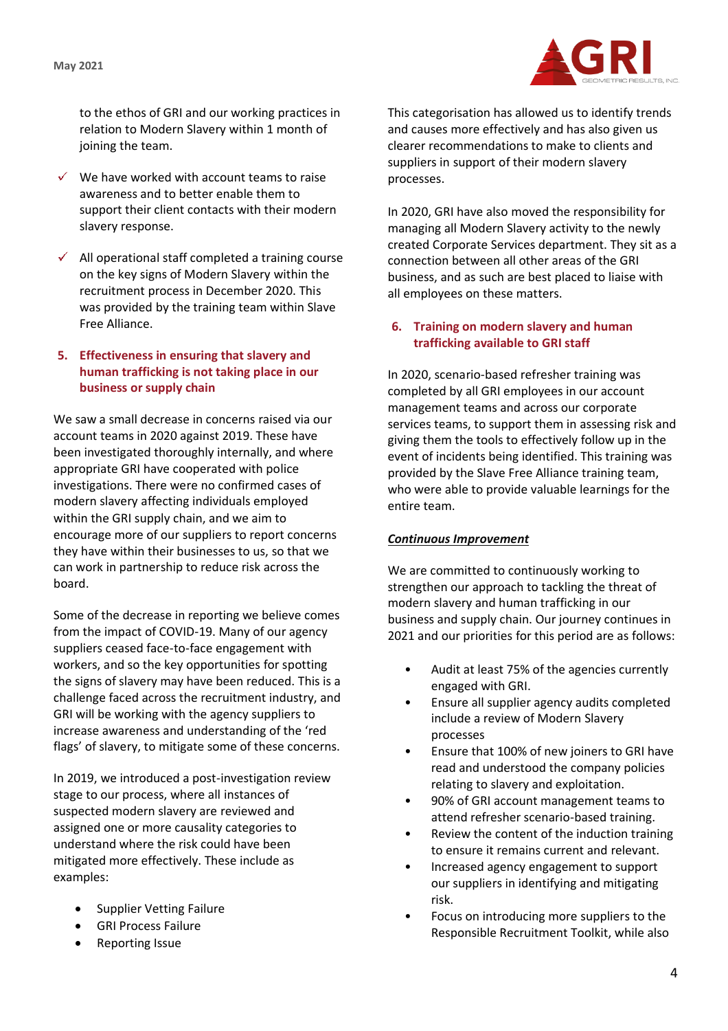

to the ethos of GRI and our working practices in relation to Modern Slavery within 1 month of joining the team.

- $\checkmark$  We have worked with account teams to raise awareness and to better enable them to support their client contacts with their modern slavery response.
- $\checkmark$  All operational staff completed a training course on the key signs of Modern Slavery within the recruitment process in December 2020. This was provided by the training team within Slave Free Alliance.

### **5. Effectiveness in ensuring that slavery and human trafficking is not taking place in our business or supply chain**

We saw a small decrease in concerns raised via our account teams in 2020 against 2019. These have been investigated thoroughly internally, and where appropriate GRI have cooperated with police investigations. There were no confirmed cases of modern slavery affecting individuals employed within the GRI supply chain, and we aim to encourage more of our suppliers to report concerns they have within their businesses to us, so that we can work in partnership to reduce risk across the board.

Some of the decrease in reporting we believe comes from the impact of COVID-19. Many of our agency suppliers ceased face-to-face engagement with workers, and so the key opportunities for spotting the signs of slavery may have been reduced. This is a challenge faced across the recruitment industry, and GRI will be working with the agency suppliers to increase awareness and understanding of the 'red flags' of slavery, to mitigate some of these concerns.

In 2019, we introduced a post-investigation review stage to our process, where all instances of suspected modern slavery are reviewed and assigned one or more causality categories to understand where the risk could have been mitigated more effectively. These include as examples:

- Supplier Vetting Failure
- GRI Process Failure
- Reporting Issue

This categorisation has allowed us to identify trends and causes more effectively and has also given us clearer recommendations to make to clients and suppliers in support of their modern slavery processes.

In 2020, GRI have also moved the responsibility for managing all Modern Slavery activity to the newly created Corporate Services department. They sit as a connection between all other areas of the GRI business, and as such are best placed to liaise with all employees on these matters.

### **6. Training on modern slavery and human trafficking available to GRI staff**

In 2020, scenario-based refresher training was completed by all GRI employees in our account management teams and across our corporate services teams, to support them in assessing risk and giving them the tools to effectively follow up in the event of incidents being identified. This training was provided by the Slave Free Alliance training team, who were able to provide valuable learnings for the entire team.

## *Continuous Improvement*

We are committed to continuously working to strengthen our approach to tackling the threat of modern slavery and human trafficking in our business and supply chain. Our journey continues in 2021 and our priorities for this period are as follows:

- Audit at least 75% of the agencies currently engaged with GRI.
- Ensure all supplier agency audits completed include a review of Modern Slavery processes
- Ensure that 100% of new joiners to GRI have read and understood the company policies relating to slavery and exploitation.
- 90% of GRI account management teams to attend refresher scenario-based training.
- Review the content of the induction training to ensure it remains current and relevant.
- Increased agency engagement to support our suppliers in identifying and mitigating risk.
- Focus on introducing more suppliers to the Responsible Recruitment Toolkit, while also